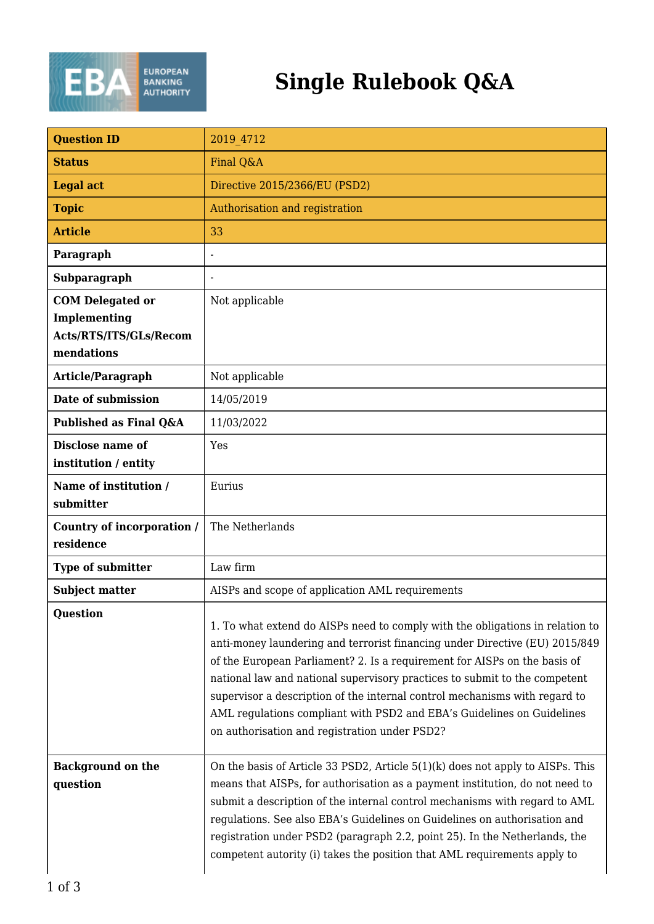

## **Single Rulebook Q&A**

| <b>Question ID</b>                                                              | 2019 4712                                                                                                                                                                                                                                                                                                                                                                                                                                                                                                                        |
|---------------------------------------------------------------------------------|----------------------------------------------------------------------------------------------------------------------------------------------------------------------------------------------------------------------------------------------------------------------------------------------------------------------------------------------------------------------------------------------------------------------------------------------------------------------------------------------------------------------------------|
| <b>Status</b>                                                                   | Final Q&A                                                                                                                                                                                                                                                                                                                                                                                                                                                                                                                        |
| <b>Legal act</b>                                                                | Directive 2015/2366/EU (PSD2)                                                                                                                                                                                                                                                                                                                                                                                                                                                                                                    |
| <b>Topic</b>                                                                    | Authorisation and registration                                                                                                                                                                                                                                                                                                                                                                                                                                                                                                   |
| <b>Article</b>                                                                  | 33                                                                                                                                                                                                                                                                                                                                                                                                                                                                                                                               |
| Paragraph                                                                       | $\overline{a}$                                                                                                                                                                                                                                                                                                                                                                                                                                                                                                                   |
| Subparagraph                                                                    |                                                                                                                                                                                                                                                                                                                                                                                                                                                                                                                                  |
| <b>COM Delegated or</b><br>Implementing<br>Acts/RTS/ITS/GLs/Recom<br>mendations | Not applicable                                                                                                                                                                                                                                                                                                                                                                                                                                                                                                                   |
| Article/Paragraph                                                               | Not applicable                                                                                                                                                                                                                                                                                                                                                                                                                                                                                                                   |
| Date of submission                                                              | 14/05/2019                                                                                                                                                                                                                                                                                                                                                                                                                                                                                                                       |
| Published as Final Q&A                                                          | 11/03/2022                                                                                                                                                                                                                                                                                                                                                                                                                                                                                                                       |
| <b>Disclose name of</b><br>institution / entity                                 | Yes                                                                                                                                                                                                                                                                                                                                                                                                                                                                                                                              |
| Name of institution /<br>submitter                                              | Eurius                                                                                                                                                                                                                                                                                                                                                                                                                                                                                                                           |
| Country of incorporation /<br>residence                                         | The Netherlands                                                                                                                                                                                                                                                                                                                                                                                                                                                                                                                  |
| Type of submitter                                                               | Law firm                                                                                                                                                                                                                                                                                                                                                                                                                                                                                                                         |
| <b>Subject matter</b>                                                           | AISPs and scope of application AML requirements                                                                                                                                                                                                                                                                                                                                                                                                                                                                                  |
| <b>Question</b>                                                                 | 1. To what extend do AISPs need to comply with the obligations in relation to<br>anti-money laundering and terrorist financing under Directive (EU) 2015/849<br>of the European Parliament? 2. Is a requirement for AISPs on the basis of<br>national law and national supervisory practices to submit to the competent<br>supervisor a description of the internal control mechanisms with regard to<br>AML regulations compliant with PSD2 and EBA's Guidelines on Guidelines<br>on authorisation and registration under PSD2? |
| <b>Background on the</b><br>question                                            | On the basis of Article 33 PSD2, Article 5(1)(k) does not apply to AISPs. This<br>means that AISPs, for authorisation as a payment institution, do not need to<br>submit a description of the internal control mechanisms with regard to AML<br>regulations. See also EBA's Guidelines on Guidelines on authorisation and<br>registration under PSD2 (paragraph 2.2, point 25). In the Netherlands, the<br>competent autority (i) takes the position that AML requirements apply to                                              |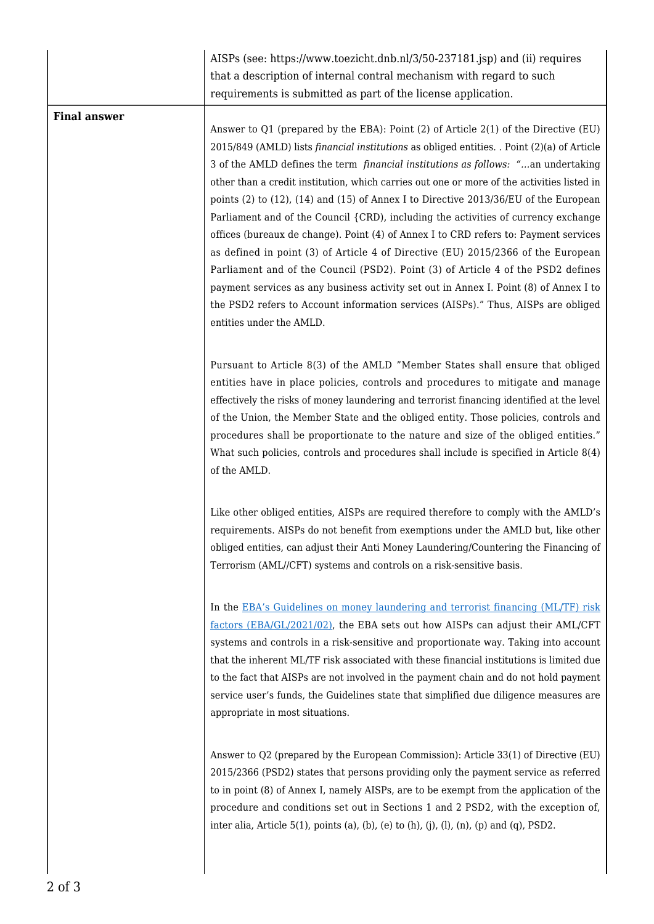|                     | AISPs (see: https://www.toezicht.dnb.nl/3/50-237181.jsp) and (ii) requires<br>that a description of internal contral mechanism with regard to such<br>requirements is submitted as part of the license application.                                                                                                                                                                                                                                                                                                                                                                                                                                                                                                                                                                                                                                                                                                                                                                                                                     |
|---------------------|-----------------------------------------------------------------------------------------------------------------------------------------------------------------------------------------------------------------------------------------------------------------------------------------------------------------------------------------------------------------------------------------------------------------------------------------------------------------------------------------------------------------------------------------------------------------------------------------------------------------------------------------------------------------------------------------------------------------------------------------------------------------------------------------------------------------------------------------------------------------------------------------------------------------------------------------------------------------------------------------------------------------------------------------|
| <b>Final answer</b> | Answer to Q1 (prepared by the EBA): Point (2) of Article 2(1) of the Directive (EU)<br>2015/849 (AMLD) lists financial institutions as obliged entities. . Point (2)(a) of Article<br>3 of the AMLD defines the term <i>financial institutions as follows: "</i> an undertaking<br>other than a credit institution, which carries out one or more of the activities listed in<br>points (2) to (12), (14) and (15) of Annex I to Directive $2013/36/EU$ of the European<br>Parliament and of the Council {CRD}, including the activities of currency exchange<br>offices (bureaux de change). Point (4) of Annex I to CRD refers to: Payment services<br>as defined in point (3) of Article 4 of Directive (EU) 2015/2366 of the European<br>Parliament and of the Council (PSD2). Point (3) of Article 4 of the PSD2 defines<br>payment services as any business activity set out in Annex I. Point (8) of Annex I to<br>the PSD2 refers to Account information services (AISPs)." Thus, AISPs are obliged<br>entities under the AMLD. |
|                     | Pursuant to Article 8(3) of the AMLD "Member States shall ensure that obliged<br>entities have in place policies, controls and procedures to mitigate and manage<br>effectively the risks of money laundering and terrorist financing identified at the level<br>of the Union, the Member State and the obliged entity. Those policies, controls and<br>procedures shall be proportionate to the nature and size of the obliged entities."<br>What such policies, controls and procedures shall include is specified in Article 8(4)<br>of the AMLD.                                                                                                                                                                                                                                                                                                                                                                                                                                                                                    |
|                     | Like other obliged entities, AISPs are required therefore to comply with the AMLD's<br>requirements. AISPs do not benefit from exemptions under the AMLD but, like other<br>obliged entities, can adjust their Anti Money Laundering/Countering the Financing of<br>Terrorism (AML//CFT) systems and controls on a risk-sensitive basis.                                                                                                                                                                                                                                                                                                                                                                                                                                                                                                                                                                                                                                                                                                |
|                     | In the EBA's Guidelines on money laundering and terrorist financing (ML/TF) risk<br>factors (EBA/GL/2021/02), the EBA sets out how AISPs can adjust their AML/CFT<br>systems and controls in a risk-sensitive and proportionate way. Taking into account<br>that the inherent ML/TF risk associated with these financial institutions is limited due<br>to the fact that AISPs are not involved in the payment chain and do not hold payment<br>service user's funds, the Guidelines state that simplified due diligence measures are<br>appropriate in most situations.                                                                                                                                                                                                                                                                                                                                                                                                                                                                |
|                     | Answer to Q2 (prepared by the European Commission): Article 33(1) of Directive (EU)<br>2015/2366 (PSD2) states that persons providing only the payment service as referred<br>to in point (8) of Annex I, namely AISPs, are to be exempt from the application of the<br>procedure and conditions set out in Sections 1 and 2 PSD2, with the exception of,<br>inter alia, Article 5(1), points (a), (b), (e) to (h), (j), (l), (n), (p) and (q), PSD2.                                                                                                                                                                                                                                                                                                                                                                                                                                                                                                                                                                                   |